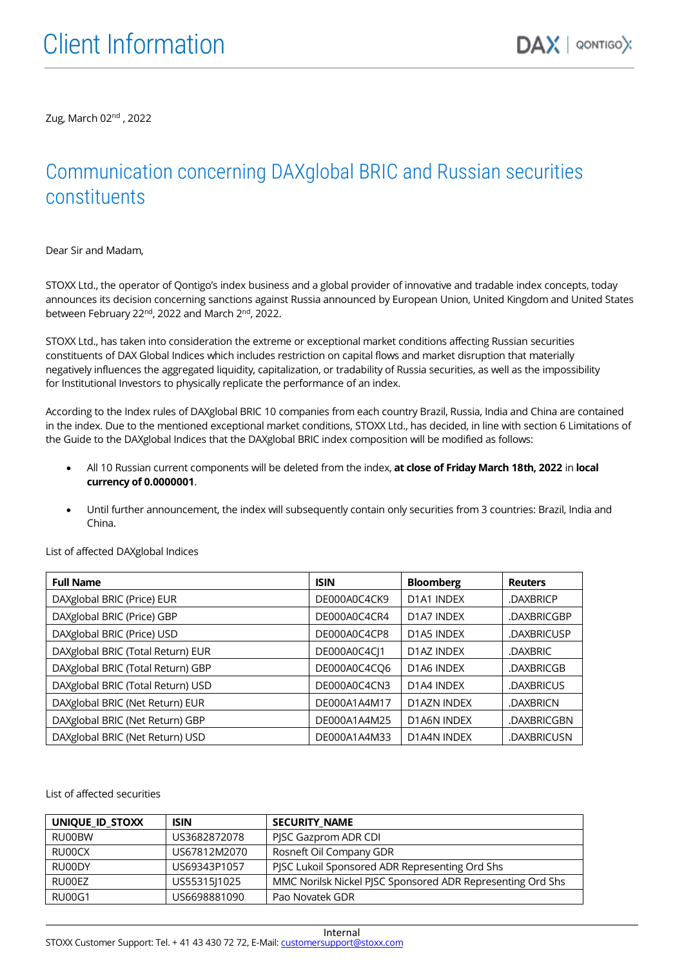Zug, March 02<sup>nd</sup> , 2022

## Communication concerning DAXglobal BRIC and Russian securities constituents

Dear Sir and Madam,

STOXX Ltd., the operator of Qontigo's index business and a global provider of innovative and tradable index concepts, today announces its decision concerning sanctions against Russia announced by European Union, United Kingdom and United States between February 22<sup>nd</sup>, 2022 and March 2<sup>nd</sup>, 2022.

STOXX Ltd., has taken into consideration the extreme or exceptional market conditions affecting Russian securities constituents of DAX Global Indices which includes restriction on capital flows and market disruption that materially negatively influences the aggregated liquidity, capitalization, or tradability of Russia securities, as well as the impossibility for Institutional Investors to physically replicate the performance of an index.

According to the Index rules of DAXglobal BRIC 10 companies from each country Brazil, Russia, India and China are contained in the index. Due to the mentioned exceptional market conditions, STOXX Ltd., has decided, in line with section 6 Limitations of the Guide to the DAXglobal Indices that the DAXglobal BRIC index composition will be modified as follows:

- All 10 Russian current components will be deleted from the index, at close of Friday March 18th, 2022 in local currency of 0.0000001.
- Until further announcement, the index will subsequently contain only securities from 3 countries: Brazil, India and China.

| <b>Full Name</b>                  | <b>ISIN</b>  | <b>Bloomberg</b>                    | <b>Reuters</b> |
|-----------------------------------|--------------|-------------------------------------|----------------|
| DAXglobal BRIC (Price) EUR        | DE000A0C4CK9 | D1A1 INDEX                          | .DAXBRICP      |
| DAXglobal BRIC (Price) GBP        | DE000A0C4CR4 | D1A7 INDEX                          | .DAXBRICGBP    |
| DAXglobal BRIC (Price) USD        | DE000A0C4CP8 | D <sub>1</sub> A <sub>5</sub> INDEX | .DAXBRICUSP    |
| DAXglobal BRIC (Total Return) EUR | DE000A0C4CI1 | D1AZ INDEX                          | .DAXBRIC       |
| DAXglobal BRIC (Total Return) GBP | DE000A0C4CO6 | D <sub>1</sub> A <sub>6</sub> INDEX | .DAXBRICGB     |
| DAXglobal BRIC (Total Return) USD | DE000A0C4CN3 | D1A4 INDEX                          | .DAXBRICUS     |
| DAXglobal BRIC (Net Return) EUR   | DE000A1A4M17 | D1AZN INDEX                         | .DAXBRICN      |
| DAXglobal BRIC (Net Return) GBP   | DE000A1A4M25 | D1A6N INDEX                         | .DAXBRICGBN    |
| DAXglobal BRIC (Net Return) USD   | DE000A1A4M33 | D1A4N INDEX                         | .DAXBRICUSN    |

List of affected DAXglobal Indices

List of affected securities

| UNIQUE ID STOXX | <b>ISIN</b>  | <b>SECURITY NAME</b>                                       |
|-----------------|--------------|------------------------------------------------------------|
| RU00BW          | US3682872078 | PJSC Gazprom ADR CDI                                       |
| RU00CX          | US67812M2070 | Rosneft Oil Company GDR                                    |
| RU00DY          | US69343P1057 | PJSC Lukoil Sponsored ADR Representing Ord Shs             |
| RU00EZ          | US55315J1025 | MMC Norilsk Nickel PJSC Sponsored ADR Representing Ord Shs |
| <b>RU00G1</b>   | US6698881090 | Pao Novatek GDR                                            |